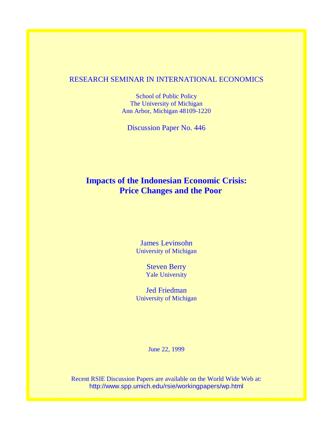### RESEARCH SEMINAR IN INTERNATIONAL ECONOMICS

School of Public Policy The University of Michigan Ann Arbor, Michigan 48109-1220

Discussion Paper No. 446

# **Impacts of the Indonesian Economic Crisis: Price Changes and the Poor**

James Levinsohn University of Michigan

> Steven Berry Yale University

Jed Friedman University of Michigan

June 22, 1999

Recent RSIE Discussion Papers are available on the World Wide Web at: http://www.spp.umich.edu/rsie/workingpapers/wp.html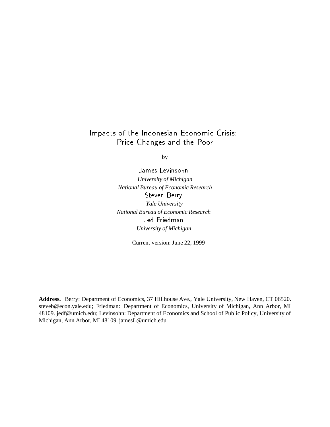## Impacts of the Indonesian Economic Crisis:Price Changes and the Poor

by

James Levinsohn *University of Michigan National Bureau of Economic Research* Steven Berry *Yale University National Bureau of Economic Research* Jed Friedman *University of Michigan*

Current version: June 22, 1999

**Address.** Berry: Department of Economics, 37 Hillhouse Ave., Yale University, New Haven, CT 06520. steveb@econ.yale.edu; Friedman: Department of Economics, University of Michigan, Ann Arbor, MI 48109. jedf@umich.edu; Levinsohn: Department of Economics and School of Public Policy, University of Michigan, Ann Arbor, MI 48109. jamesL@umich.edu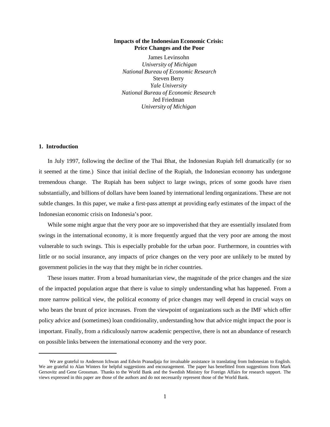#### **Impacts of the Indonesian Economic Crisis: Price Changes and the Poor**

James Levinsohn *University of Michigan National Bureau of Economic Research* Steven Berry *Yale University National Bureau of Economic Research* Jed Friedman *University of Michigan*

#### **1. Introduction**

In July 1997, following the decline of the Thai Bhat, the Indonesian Rupiah fell dramatically (or so it seemed at the time.) Since that initial decline of the Rupiah, the Indonesian economy has undergone tremendous change. The Rupiah has been subject to large swings, prices of some goods have risen substantially, and billions of dollars have been loaned by international lending organizations. These are not subtle changes. In this paper, we make a first-pass attempt at providing early estimates of the impact of the Indonesian economic crisis on Indonesia's poor.

While some might argue that the very poor are so impoverished that they are essentially insulated from swings in the international economy, it is more frequently argued that the very poor are among the most vulnerable to such swings. This is especially probable for the urban poor. Furthermore, in countries with little or no social insurance, any impacts of price changes on the very poor are unlikely to be muted by government policies in the way that they might be in richer countries.

These issues matter. From a broad humanitarian view, the magnitude of the price changes and the size of the impacted population argue that there is value to simply understanding what has happened. From a more narrow political view, the political economy of price changes may well depend in crucial ways on who bears the brunt of price increases. From the viewpoint of organizations such as the IMF which offer policy advice and (sometimes) loan conditionality, understanding how that advice might impact the poor is important. Finally, from a ridiculously narrow academic perspective, there is not an abundance of research on possible links between the international economy and the very poor.

We are grateful to Anderson Ichwan and Edwin Pranadjaja for invaluable assistance in translating from Indonesian to English. We are grateful to Alan Winters for helpful suggestions and encouragement. The paper has benefitted from suggestions from Mark Gersovitz and Gene Grossman. Thanks to the World Bank and the Swedish Ministry for Foreign Affairs for research support. The views expressed in this paper are those of the authors and do not necessarily represent those of the World Bank.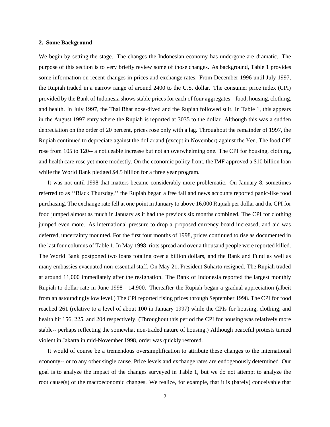#### **2. Some Background**

We begin by setting the stage. The changes the Indonesian economy has undergone are dramatic. The purpose of this section is to very briefly review some of those changes. As background, Table 1 provides some information on recent changes in prices and exchange rates. From December 1996 until July 1997, the Rupiah traded in a narrow range of around 2400 to the U.S. dollar. The consumer price index (CPI) provided by the Bank of Indonesia shows stable prices for each of four aggregates-- food, housing, clothing, and health. In July 1997, the Thai Bhat nose-dived and the Rupiah followed suit. In Table 1, this appears in the August 1997 entry where the Rupiah is reported at 3035 to the dollar. Although this was a sudden depreciation on the order of 20 percent, prices rose only with a lag. Throughout the remainder of 1997, the Rupiah continued to depreciate against the dollar and (except in November) against the Yen. The food CPI rose from 105 to 120-- a noticeable increase but not an overwhelming one. The CPI for housing, clothing, and health care rose yet more modestly. On the economic policy front, the IMF approved a \$10 billion loan while the World Bank pledged \$4.5 billion for a three year program.

It was not until 1998 that matters became considerably more problematic. On January 8, sometimes referred to as ''Black Thursday,'' the Rupiah began a free fall and news accounts reported panic-like food purchasing. The exchange rate fell at one point in January to above 16,000 Rupiah per dollar and the CPI for food jumped almost as much in January as it had the previous six months combined. The CPI for clothing jumped even more. As international pressure to drop a proposed currency board increased, and aid was deferred, uncertainty mounted. For the first four months of 1998, prices continued to rise as documented in the last four columns of Table 1. In May 1998, riots spread and over a thousand people were reported killed. The World Bank postponed two loans totaling over a billion dollars, and the Bank and Fund as well as many embassies evacuated non-essential staff. On May 21, President Suharto resigned. The Rupiah traded at around 11,000 immediately after the resignation. The Bank of Indonesia reported the largest monthly Rupiah to dollar rate in June 1998-- 14,900. Thereafter the Rupiah began a gradual appreciation (albeit from an astoundingly low level.) The CPI reported rising prices through September 1998. The CPI for food reached 261 (relative to a level of about 100 in January 1997) while the CPIs for housing, clothing, and health hit 156, 225, and 204 respectively. (Throughout this period the CPI for housing was relatively more stable-- perhaps reflecting the somewhat non-traded nature of housing.) Although peaceful protests turned violent in Jakarta in mid-November 1998, order was quickly restored.

It would of course be a tremendous oversimplification to attribute these changes to the international economy-- or to any other single cause. Price levels and exchange rates are endogenously determined. Our goal is to analyze the impact of the changes surveyed in Table 1, but we do not attempt to analyze the root cause(s) of the macroeconomic changes. We realize, for example, that it is (barely) conceivable that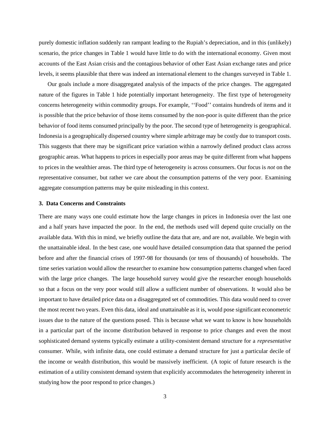purely domestic inflation suddenly ran rampant leading to the Rupiah's depreciation, and in this (unlikely) scenario, the price changes in Table 1 would have little to do with the international economy. Given most accounts of the East Asian crisis and the contagious behavior of other East Asian exchange rates and price levels, it seems plausible that there was indeed an international element to the changes surveyed in Table 1.

Our goals include a more disaggregated analysis of the impacts of the price changes. The aggregated nature of the figures in Table 1 hide potentially important heterogeneity. The first type of heterogeneity concerns heterogeneity within commodity groups. For example, ''Food'' contains hundreds of items and it is possible that the price behavior of those items consumed by the non-poor is quite different than the price behavior of food items consumed principally by the poor. The second type of heterogeneity is geographical. Indonesia is a geographically dispersed country where simple arbitrage may be costly due to transport costs. This suggests that there may be significant price variation within a narrowly defined product class across geographic areas. What happens to prices in especially poor areas may be quite different from what happens to prices in the wealthier areas. The third type of heterogeneity is across consumers. Our focus is *not* on the representative consumer, but rather we care about the consumption patterns of the very poor. Examining aggregate consumption patterns may be quite misleading in this context.

#### **3. Data Concerns and Constraints**

There are many ways one could estimate how the large changes in prices in Indonesia over the last one and a half years have impacted the poor. In the end, the methods used will depend quite crucially on the available data. With this in mind, we briefly outline the data that are, and are not, available. We begin with the unattainable ideal. In the best case, one would have detailed consumption data that spanned the period before and after the financial crises of 1997-98 for thousands (or tens of thousands) of households. The time series variation would allow the researcher to examine how consumption patterns changed when faced with the large price changes. The large household survey would give the researcher enough households so that a focus on the very poor would still allow a sufficient number of observations. It would also be important to have detailed price data on a disaggregated set of commodities. This data would need to cover the most recent two years. Even this data, ideal and unattainable as it is, would pose significant econometric issues due to the nature of the questions posed. This is because what we want to know is how households in a particular part of the income distribution behaved in response to price changes and even the most sophisticated demand systems typically estimate a utility-consistent demand structure for a *representative* consumer. While, with infinite data, one could estimate a demand structure for just a particular decile of the income or wealth distribution, this would be massively inefficient. (A topic of future research is the estimation of a utility consistent demand system that explicitly accommodates the heterogeneity inherent in studying how the poor respond to price changes.)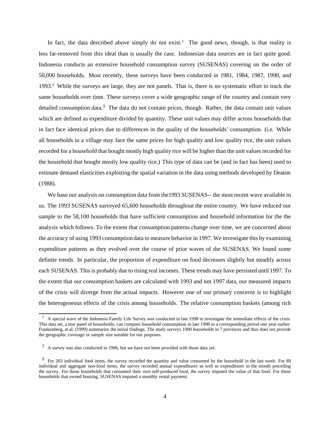In fact, the data described above simply do not exist.<sup>1</sup> The good news, though, is that reality is less far-removed from this ideal than is usually the case. Indonesian data sources are in fact quite good. Indonesia conducts an extensive household consumption survey (SUSENAS) covering on the order of 50,000 households. Most recently, these surveys have been conducted in 1981, 1984, 1987, 1990, and 1993.<sup>2</sup> While the surveys are large, they are not panels. That is, there is no systematic effort to track the same households over time. These surveys cover a wide geographic range of the country and contain very detailed consumption data.<sup>3</sup> The data do not contain prices, though. Rather, the data contain unit values which are defined as expenditure divided by quantity. These unit values may differ across households that in fact face identical prices due to differences in the quality of the households' consumption. (i.e. While all households in a village may face the same prices for high quality and low quality rice, the unit values recorded for a household that bought mostly high quality rice will be higher than the unit values recorded for the household that bought mostly low quality rice.) This type of data can be (and in fact has been) used to estimate demand elasticities exploiting the spatial variation in the data using methods developed by Deaton (1988).

We base our analysis on consumption data from the 1993 SUSENAS-- the most recent wave available to us. The 1993 SUSENAS surveyed 65,600 households throughout the entire country. We have reduced our sample to the 58,100 households that have sufficient consumption and household information for the the analysis which follows. To the extent that consumption patterns change over time, we are concerned about the accuracy of using 1993 consumption data to measure behavior in 1997. We investigate this by examining expenditure patterns as they evolved over the course of prior waves of the SUSENAS. We found some definite trends. In particular, the proportion of expenditure on food decreases slightly but steadily across each SUSENAS. This is probably due to rising real incomes. These trends may have persisted until 1997. To the extent that our consumption baskets are calculated with 1993 and not 1997 data, our measured impacts of the crisis will diverge from the actual impacts. However one of our primary concerns is to highlight the heterogeneous effects of the crisis among households. The relative consumption baskets (among rich

<sup>&</sup>lt;sup>1</sup> A special wave of the Indonesia Family Life Survey was conducted in late 1998 to investigate the immediate effects of the crisis. This data set, a true panel of households, can compare household consumption in late 1998 to a corresponding period one year earlier. Frankenberg, et al. (1999) summarize the initial findings. The study surveys 1900 households in 7 provinces and thus does not provide the geographic coverage or sample size suitable for our purposes.

 $\sim$  A survey was also conducted in 1996, but we have not been provided with those data yet.

<sup>&</sup>lt;sup>3</sup> For 203 individual food items, the survey recorded the quantity and value consumed by the household in the last week. For 89 individual and aggregate non-food items, the survey recorded annual expenditures as well as expenditures in the month preceding the survey. For those households that consumed their own self-produced food, the survey imputed the value of that food. For those households that owned housing, SUSENAS imputed a monthly rental payment.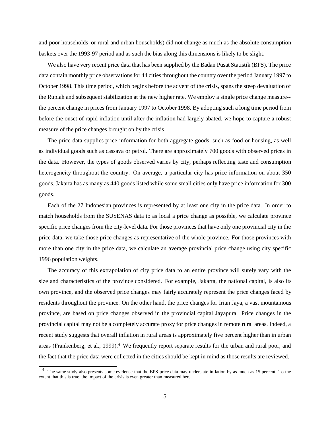and poor households, or rural and urban households) did not change as much as the absolute consumption baskets over the 1993-97 period and as such the bias along this dimensions is likely to be slight.

We also have very recent price data that has been supplied by the Badan Pusat Statistik (BPS). The price data contain monthly price observations for 44 cities throughout the country over the period January 1997 to October 1998. This time period, which begins before the advent of the crisis, spans the steep devaluation of the Rupiah and subsequent stabilization at the new higher rate. We employ a single price change measure- the percent change in prices from January 1997 to October 1998. By adopting such a long time period from before the onset of rapid inflation until after the inflation had largely abated, we hope to capture a robust measure of the price changes brought on by the crisis.

The price data supplies price information for both aggregate goods, such as food or housing, as well as individual goods such as cassava or petrol. There are approximately 700 goods with observed prices in the data. However, the types of goods observed varies by city, perhaps reflecting taste and consumption heterogeneity throughout the country. On average, a particular city has price information on about 350 goods. Jakarta has as many as 440 goods listed while some small cities only have price information for 300 goods.

Each of the 27 Indonesian provinces is represented by at least one city in the price data. In order to match households from the SUSENAS data to as local a price change as possible, we calculate province specific price changes from the city-level data. For those provinces that have only one provincial city in the price data, we take those price changes as representative of the whole province. For those provinces with more than one city in the price data, we calculate an average provincial price change using city specific 1996 population weights.

The accuracy of this extrapolation of city price data to an entire province will surely vary with the size and characteristics of the province considered. For example, Jakarta, the national capital, is also its own province, and the observed price changes may fairly accurately represent the price changes faced by residents throughout the province. On the other hand, the price changes for Irian Jaya, a vast mountainous province, are based on price changes observed in the provincial capital Jayapura. Price changes in the provincial capital may not be a completely accurate proxy for price changes in remote rural areas. Indeed, a recent study suggests that overall inflation in rural areas is approximately five percent higher than in urban areas (Frankenberg, et al., 1999).<sup>4</sup> We frequently report separate results for the urban and rural poor, and the fact that the price data were collected in the cities should be kept in mind as those results are reviewed.

<sup>&</sup>lt;sup>4</sup> The same study also presents some evidence that the BPS price data may understate inflation by as much as 15 percent. To the extent that this is true, the impact of the crisis is even greater than measured here.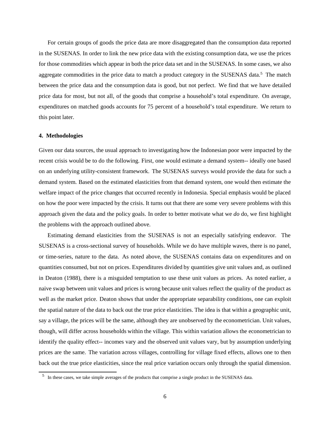For certain groups of goods the price data are more disaggregated than the consumption data reported in the SUSENAS. In order to link the new price data with the existing consumption data, we use the prices for those commodities which appear in both the price data set and in the SUSENAS. In some cases, we also aggregate commodities in the price data to match a product category in the SUSENAS data.<sup>5</sup> The match between the price data and the consumption data is good, but not perfect. We find that we have detailed price data for most, but not all, of the goods that comprise a household's total expenditure. On average, expenditures on matched goods accounts for 75 percent of a household's total expenditure. We return to this point later.

#### **4. Methodologies**

Given our data sources, the usual approach to investigating how the Indonesian poor were impacted by the recent crisis would be to do the following. First, one would estimate a demand system-- ideally one based on an underlying utility-consistent framework. The SUSENAS surveys would provide the data for such a demand system. Based on the estimated elasticities from that demand system, one would then estimate the welfare impact of the price changes that occurred recently in Indonesia. Special emphasis would be placed on how the poor were impacted by the crisis. It turns out that there are some very severe problems with this approach given the data and the policy goals. In order to better motivate what we *do* do, we first highlight the problems with the approach outlined above.

Estimating demand elasticities from the SUSENAS is not an especially satisfying endeavor. The SUSENAS is a cross-sectional survey of households. While we do have multiple waves, there is no panel, or time-series, nature to the data. As noted above, the SUSENAS contains data on expenditures and on quantities consumed, but not on prices. Expenditures divided by quantities give unit values and, as outlined in Deaton (1988), there is a misguided temptation to use these unit values as prices. As noted earlier, a naive swap between unit values and prices is wrong because unit values reflect the quality of the product as well as the market price. Deaton shows that under the appropriate separability conditions, one can exploit the spatial nature of the data to back out the true price elasticities. The idea is that within a geographic unit, say a village, the prices will be the same, although they are unobserved by the econometrician. Unit values, though, will differ across households within the village. This within variation allows the econometrician to identify the quality effect-- incomes vary and the observed unit values vary, but by assumption underlying prices are the same. The variation across villages, controlling for village fixed effects, allows one to then back out the true price elasticities, since the real price variation occurs only through the spatial dimension.

<sup>&</sup>lt;sup>5</sup> In these cases, we take simple averages of the products that comprise a single product in the SUSENAS data.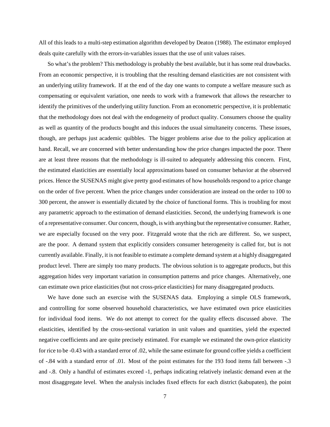All of this leads to a multi-step estimation algorithm developed by Deaton (1988). The estimator employed deals quite carefully with the errors-in-variables issues that the use of unit values raises.

So what's the problem? This methodology is probably the best available, but it has some real drawbacks. From an economic perspective, it is troubling that the resulting demand elasticities are not consistent with an underlying utility framework. If at the end of the day one wants to compute a welfare measure such as compensating or equivalent variation, one needs to work with a framework that allows the researcher to identify the primitives of the underlying utility function. From an econometric perspective, it is problematic that the methodology does not deal with the endogeneity of product quality. Consumers choose the quality as well as quantity of the products bought and this induces the usual simultaneity concerns. These issues, though, are perhaps just academic quibbles. The bigger problems arise due to the policy application at hand. Recall, we are concerned with better understanding how the price changes impacted the poor. There are at least three reasons that the methodology is ill-suited to adequately addressing this concern. First, the estimated elasticities are essentially local approximations based on consumer behavior at the observed prices. Hence the SUSENAS might give pretty good estimates of how households respond to a price change on the order of five percent. When the price changes under consideration are instead on the order to 100 to 300 percent, the answer is essentially dictated by the choice of functional forms. This is troubling for most any parametric approach to the estimation of demand elasticities. Second, the underlying framework is one of a representative consumer. Our concern, though, is with anything but the representative consumer. Rather, we are especially focused on the very poor. Fitzgerald wrote that the rich are different. So, we suspect, are the poor. A demand system that explicitly considers consumer heterogeneity is called for, but is not currently available. Finally, it is not feasible to estimate a complete demand system at a highly disaggregated product level. There are simply too many products. The obvious solution is to aggregate products, but this aggregation hides very important variation in consumption patterns and price changes. Alternatively, one can estimate own price elasticities (but not cross-price elasticities) for many disaggregated products.

We have done such an exercise with the SUSENAS data. Employing a simple OLS framework, and controlling for some observed household characteristics, we have estimated own price elasticities for individual food items. We do not attempt to correct for the quality effects discussed above. The elasticities, identified by the cross-sectional variation in unit values and quantities, yield the expected negative coefficients and are quite precisely estimated. For example we estimated the own-price elasticity for rice to be -0.43 with a standard error of .02, while the same estimate for ground coffee yields a coefficient of -.84 with a standard error of .01. Most of the point estimates for the 193 food items fall between -.3 and -.8. Only a handful of estimates exceed -1, perhaps indicating relatively inelastic demand even at the most disaggregate level. When the analysis includes fixed effects for each district (kabupaten), the point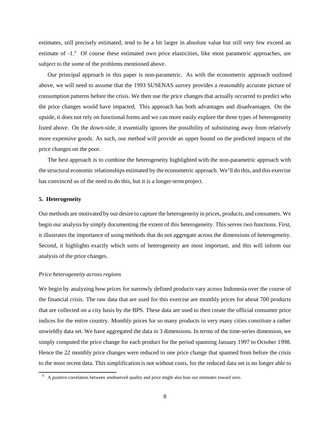estimates, still precisely estimated, tend to be a bit larger in absolute value but still very few exceed an estimate of  $-1$ .<sup>6</sup> Of course these estimated own price elasticities, like most parametric approaches, are subject to the some of the problems mentioned above.

Our principal approach in this paper is non-parametric. As with the econometric approach outlined above, we will need to assume that the 1993 SUSENAS survey provides a reasonably accurate picture of consumption patterns before the crisis. We then use the price changes that actually occurred to predict who the price changes would have impacted. This approach has both advantages and disadvantages. On the upside, it does not rely on functional forms and we can more easily explore the three types of heterogeneity listed above. On the down-side, it essentially ignores the possibility of substituting away from relatively more expensive goods. As such, our method will provide an upper bound on the predicted impacts of the price changes on the poor.

The best approach is to combine the heterogeneity highlighted with the non-parametric approach with the structural economic relationships estimated by the econometric approach. We'll do this, and this exercise has convinced us of the need to do this, but it is a longer-term project.

#### **5. Heterogeneity**

Our methods are motivated by our desire to capture the heterogeneity in prices, products, and consumers. We begin our analysis by simply documenting the extent of this heterogeneity. This serves two functions. First, it illustrates the importance of using methods that do not aggregate across the dimensions of heterogeneity. Second, it highlights exactly which sorts of heterogeneity are most important, and this will inform our analysis of the price changes.

#### *Price heterogeneity across regions*

We begin by analyzing how prices for narrowly defined products vary across Indonesia over the course of the financial crisis. The raw data that are used for this exercise are monthly prices for about 700 products that are collected on a city basis by the BPS. These data are used to then create the official consumer price indices for the entire country. Monthly prices for so many products in very many cities constitute a rather unwieldly data set. We have aggregated the data in 3 dimensions. In terms of the time-series dimension, we simply computed the price change for each product for the period spanning January 1997 to October 1998. Hence the 22 monthly price changes were reduced to one price change that spanned from before the crisis to the most recent data. This simplification is not without costs, for the reduced data set is no longer able to

<sup>&</sup>lt;sup>6</sup> A positive correlation between unobserved quality and price might also bias our estimates toward zero.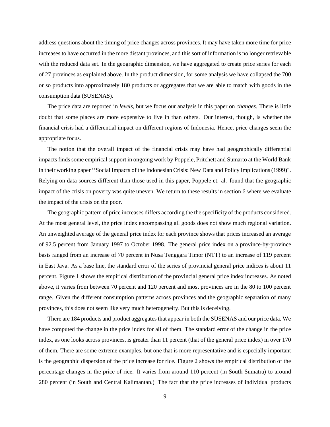address questions about the timing of price changes across provinces. It may have taken more time for price increases to have occurred in the more distant provinces, and this sort of information is no longer retrievable with the reduced data set. In the geographic dimension, we have aggregated to create price series for each of 27 provinces as explained above. In the product dimension, for some analysis we have collapsed the 700 or so products into approximately 180 products or aggregates that we are able to match with goods in the consumption data (SUSENAS).

The price data are reported in *levels*, but we focus our analysis in this paper on *changes.* There is little doubt that some places are more expensive to live in than others. Our interest, though, is whether the financial crisis had a differential impact on different regions of Indonesia. Hence, price changes seem the appropriate focus.

The notion that the overall impact of the financial crisis may have had geographically differential impacts finds some empirical support in ongoing work by Poppele, Pritchett and Sumarto at the World Bank in their working paper ''Social Impacts of the Indonesian Crisis: New Data and Policy Implications (1999)". Relying on data sources different than those used in this paper, Poppele et. al. found that the geographic impact of the crisis on poverty was quite uneven. We return to these results in section 6 where we evaluate the impact of the crisis on the poor.

The geographic pattern of price increases differs according the the specificity of the products considered. At the most general level, the price index encompassing all goods does not show much regional variation. An unweighted average of the general price index for each province shows that prices increased an average of 92.5 percent from January 1997 to October 1998. The general price index on a province-by-province basis ranged from an increase of 70 percent in Nusa Tenggara Timor (NTT) to an increase of 119 percent in East Java. As a base line, the standard error of the series of provincial general price indices is about 11 percent. Figure 1 shows the empirical distribution of the provincial general price index increases. As noted above, it varies from between 70 percent and 120 percent and most provinces are in the 80 to 100 percent range. Given the different consumption patterns across provinces and the geographic separation of many provinces, this does not seem like very much heterogeneity. But this is deceiving.

There are 184 products and product aggregates that appear in both the SUSENAS and our price data. We have computed the change in the price index for all of them. The standard error of the change in the price index, as one looks across provinces, is greater than 11 percent (that of the general price index) in over 170 of them. There are some extreme examples, but one that is more representative and is especially important is the geographic dispersion of the price increase for rice. Figure 2 shows the empirical distribution of the percentage changes in the price of rice. It varies from around 110 percent (in South Sumatra) to around 280 percent (in South and Central Kalimantan.) The fact that the price increases of individual products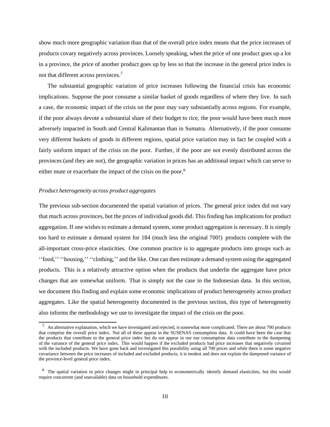show much more geographic variation than that of the overall price index means that the price increases of products covary negatively across provinces. Loosely speaking, when the price of one product goes up a lot in a province, the price of another product goes up by less so that the increase in the general price index is not that different across provinces.<sup>7</sup>

The substantial geographic variation of price increases following the financial crisis has economic implications. Suppose the poor consume a similar basket of goods regardless of where they live. In such a case, the economic impact of the crisis on the poor may vary substantially across regions. For example, if the poor always devote a substantial share of their budget to rice, the poor would have been much more adversely impacted in South and Central Kalimantan than in Sumatra. Alternatively, if the poor consume very different baskets of goods in different regions, spatial price variation may in fact be coupled with a fairly uniform impact of the crisis on the poor. Further, if the poor are not evenly distributed across the provinces (and they are not), the geographic variation in prices has an additional impact which can serve to either mute or exacerbate the impact of the crisis on the poor.<sup>8</sup>

#### *Product heterogeneity across product aggregates*

The previous sub-section documented the spatial variation of prices. The general price index did not vary that much across provinces, but the prices of individual goods did. This finding has implications for product aggregation. If one wishes to estimate a demand system, some product aggregation is necessary. It is simply too hard to estimate a demand system for 184 (much less the original 700!) products complete with the all-important cross-price elasticities. One common practice is to aggregate products into groups such as ''food,'' ''housing,'' ''clothing,'' and the like. One can then estimate a demand system using the aggregated products. This is a relatively attractive option when the products that underlie the aggregate have price changes that are somewhat uniform. That is simply not the case in the Indonesian data. In this section, we document this finding and explain some economic implications of product heterogeneity across product aggregates. Like the spatial heterogeneity documented in the previous section, this type of heterogeneity also informs the methodology we use to investigate the impact of the crisis on the poor.

<sup>7</sup> An alternative explanation, which we have investigated and rejected, is somewhat more complicated. There are about 700 products that comprise the overall price index. Not all of these appear in the SUSENAS consumption data. It could have been the case that the products that contribute to the general price index but do not appear in our our consumption data contribute to the dampening of the variance of the general price index. This would happen if the excluded products had price increases that negatively covaried with the included products. We have gone back and investigated this possibility using all 700 prices and while there is some negative covariance between the price increases of included and excluded products, it is modest and does not explain the dampened variance of the province-level general price index.

<sup>8</sup> The spatial variation in price changes might in principal help to econometrically identify demand elasticities, but this would require concurrent (and unavailable) data on household expenditures.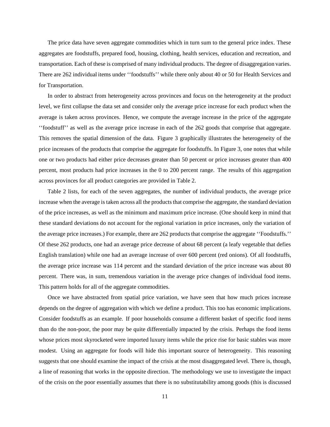The price data have seven aggregate commodities which in turn sum to the general price index. These aggregates are foodstuffs, prepared food, housing, clothing, health services, education and recreation, and transportation. Each of these is comprised of many individual products. The degree of disaggregation varies. There are 262 individual items under ''foodstuffs'' while there only about 40 or 50 for Health Services and for Transportation.

In order to abstract from heterogeneity across provinces and focus on the heterogeneity at the product level, we first collapse the data set and consider only the average price increase for each product when the average is taken across provinces. Hence, we compute the average increase in the price of the aggregate ''foodstuff'' as well as the average price increase in each of the 262 goods that comprise that aggregate. This removes the spatial dimension of the data. Figure 3 graphically illustrates the heterogeneity of the price increases of the products that comprise the aggregate for foodstuffs. In Figure 3, one notes that while one or two products had either price decreases greater than 50 percent or price increases greater than 400 percent, most products had price increases in the 0 to 200 percent range. The results of this aggregation across provinces for all product categories are provided in Table 2.

Table 2 lists, for each of the seven aggregates, the number of individual products, the average price increase when the average is taken across all the products that comprise the aggregate, the standard deviation of the price increases, as well as the minimum and maximum price increase. (One should keep in mind that these standard deviations do not account for the regional variation in price increases, only the variation of the average price increases.) For example, there are 262 products that comprise the aggregate ''Foodstuffs.'' Of these 262 products, one had an average price decrease of about 68 percent (a leafy vegetable that defies English translation) while one had an average increase of over 600 percent (red onions). Of all foodstuffs, the average price increase was 114 percent and the standard deviation of the price increase was about 80 percent. There was, in sum, tremendous variation in the average price changes of individual food items. This pattern holds for all of the aggregate commodities.

Once we have abstracted from spatial price variation, we have seen that how much prices increase depends on the degree of aggregation with which we define a product. This too has economic implications. Consider foodstuffs as an example. If poor households consume a different basket of specific food items than do the non-poor, the poor may be quite differentially impacted by the crisis. Perhaps the food items whose prices most skyrocketed were imported luxury items while the price rise for basic stables was more modest. Using an aggregate for foods will hide this important source of heterogeneity. This reasoning suggests that one should examine the impact of the crisis at the most disaggregated level. There is, though, a line of reasoning that works in the opposite direction. The methodology we use to investigate the impact of the crisis on the poor essentially assumes that there is no substitutability among goods (this is discussed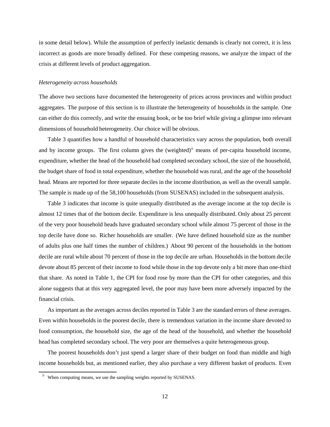in some detail below). While the assumption of perfectly inelastic demands is clearly not correct, it is less incorrect as goods are more broadly defined. For these competing reasons, we analyze the impact of the crisis at different levels of product aggregation.

#### *Heterogeneity across households*

The above two sections have documented the heterogeneity of prices across provinces and within product aggregates. The purpose of this section is to illustrate the heterogeneity of households in the sample. One can either do this correctly, and write the ensuing book, or be too brief while giving a glimpse into relevant dimensions of household heterogeneity. Our choice will be obvious.

Table 3 quantifies how a handful of household characteristics vary across the population, both overall and by income groups. The first column gives the (weighted) $9$  means of per-capita household income, expenditure, whether the head of the household had completed secondary school, the size of the household, the budget share of food in total expenditure, whether the household was rural, and the age of the household head. Means are reported for three separate deciles in the income distribution, as well as the overall sample. The sample is made up of the 58,100 households (from SUSENAS) included in the subsequent analysis.

Table 3 indicates that income is quite unequally distributed as the average income at the top decile is almost 12 times that of the bottom decile. Expenditure is less unequally distributed. Only about 25 percent of the very poor household heads have graduated secondary school while almost 75 percent of those in the top decile have done so. Richer households are smaller. (We have defined household size as the number of adults plus one half times the number of children.) About 90 percent of the households in the bottom decile are rural while about 70 percent of those in the top decile are urban. Households in the bottom decile devote about 85 percent of their income to food while those in the top devote only a bit more than one-third that share. As noted in Table 1, the CPI for food rose by more than the CPI for other categories, and this alone suggests that at this very aggregated level, the poor may have been more adversely impacted by the financial crisis.

As important as the averages across deciles reported in Table 3 are the standard errors of these averages. Even within households in the poorest decile, there is tremendous variation in the income share devoted to food consumption, the household size, the age of the head of the household, and whether the household head has completed secondary school. The very poor are themselves a quite heterogeneous group.

The poorest households don't just spend a larger share of their budget on food than middle and high income households but, as mentioned earlier, they also purchase a very different basket of products. Even

<sup>&</sup>lt;sup>9</sup> When computing means, we use the sampling weights reported by SUSENAS.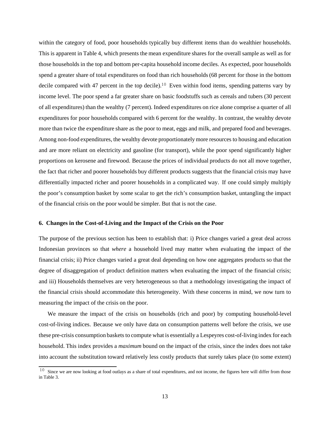within the category of food, poor households typically buy different items than do wealthier households. This is apparent in Table 4, which presents the mean expenditure shares for the overall sample as well as for those households in the top and bottom per-capita household income deciles. As expected, poor households spend a greater share of total expenditures on food than rich households (68 percent for those in the bottom decile compared with 47 percent in the top decile).<sup>10</sup> Even within food items, spending patterns vary by income level. The poor spend a far greater share on basic foodstuffs such as cereals and tubers (30 percent of all expenditures) than the wealthy (7 percent). Indeed expenditures on rice alone comprise a quarter of all expenditures for poor households compared with 6 percent for the wealthy. In contrast, the wealthy devote more than twice the expenditure share as the poor to meat, eggs and milk, and prepared food and beverages. Among non-food expenditures, the wealthy devote proportionately more resources to housing and education and are more reliant on electricity and gasoline (for transport), while the poor spend significantly higher proportions on kerosene and firewood. Because the prices of individual products do not all move together, the fact that richer and poorer households buy different products suggests that the financial crisis may have differentially impacted richer and poorer households in a complicated way. If one could simply multiply the poor's consumption basket by some scalar to get the rich's consumption basket, untangling the impact of the financial crisis on the poor would be simpler. But that is not the case.

#### **6. Changes in the Cost-of-Living and the Impact of the Crisis on the Poor**

The purpose of the previous section has been to establish that: i) Price changes varied a great deal across Indonesian provinces so that *where* a household lived may matter when evaluating the impact of the financial crisis; ii) Price changes varied a great deal depending on how one aggregates products so that the degree of disaggregation of product definition matters when evaluating the impact of the financial crisis; and iii) Households themselves are very heterogeneous so that a methodology investigating the impact of the financial crisis should accommodate this heterogeneity. With these concerns in mind, we now turn to measuring the impact of the crisis on the poor.

We measure the impact of the crisis on households (rich and poor) by computing household-level cost-of-living indices. Because we only have data on consumption patterns well before the crisis, we use these pre-crisis consumption baskets to compute what is essentially a Lespeyres cost-of-living index for each household. This index provides a *maximum* bound on the impact of the crisis, since the index does not take into account the substitution toward relatively less costly products that surely takes place (to some extent)

 $10$  Since we are now looking at food outlays as a share of total expenditures, and not income, the figures here will differ from those in Table 3.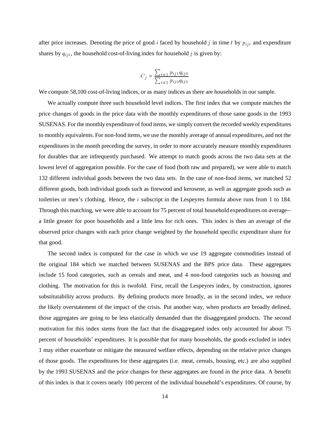after price increases. Denoting the price of good *i* faced by household *j* in time *t* by  $p_{ijt}$  and expenditure shares by  $q_{ijt}$ , the household cost-of-living index for household j is given by:

$$
C_j = \frac{\sum_{i=1} p_{ij} q_{ij0}}{\sum_{i=1} p_{ij0} q_{ij0}}
$$

We compute 58,100 cost-of-living indices, or as many indices as there are households in our sample.

We actually compute three such household level indices. The first index that we compute matches the price changes of goods in the price data with the monthly expenditures of those same goods in the 1993 SUSENAS. For the monthly expenditure of food items, we simply convert the recorded weekly expenditures to monthly equivalents. For non-food items, we use the monthly average of annual expenditures, and not the expenditures in the month preceding the survey, in order to more accurately measure monthly expenditures for durables that are infrequently purchased. We attempt to match goods across the two data sets at the lowest level of aggregation possible. For the case of food (both raw and prepared), we were able to match 132 different individual goods between the two data sets. In the case of non-food items, we matched 52 different goods, both individual goods such as firewood and kerosene, as well as aggregate goods such as toiletries or men's clothing. Hence, the  $i$  subscript in the Lespeyres formula above runs from 1 to 184. Through this matching, we were able to account for 75 percent of total household expenditures on average- a little greater for poor households and a little less for rich ones. This index is then an average of the observed price changes with each price change weighted by the household specific expenditure share for that good.

The second index is computed for the case in which we use 19 aggregate commodities instead of the original 184 which we matched between SUSENAS and the BPS price data. These aggregates include 15 food categories, such as cereals and meat, and 4 non-food categories such as housing and clothing. The motivation for this is twofold. First, recall the Lespeyres index, by construction, ignores substitutability across products. By defining products more broadly, as in the second index, we reduce the likely overstatement of the impact of the crisis. Put another way, when products are broadly defined, those aggregates are going to be less elastically demanded than the disaggregated products. The second motivation for this index stems from the fact that the disaggregated index only accounted for about 75 percent of households' expenditures. It is possible that for many households, the goods excluded in index 1 may either exacerbate or mitigate the measured welfare effects, depending on the relative price changes of those goods. The expenditures for these aggregates (i.e. meat, cereals, housing, etc.) are also supplied by the 1993 SUSENAS and the price changes for these aggregates are found in the price data. A benefit of this index is that it covers nearly 100 percent of the individual household's expenditures. Of course, by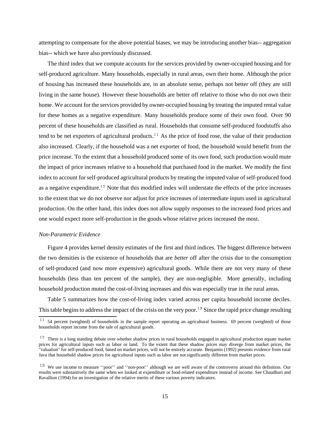attempting to compensate for the above potential biases, we may be introducing another bias-- aggregation bias-- which we have also previously discussed.

The third index that we compute accounts for the services provided by owner-occupied housing and for self-produced agriculture. Many households, especially in rural areas, own their home. Although the price of housing has increased these households are, in an absolute sense, perhaps not better off (they are still living in the same house). However these households are better off relative to those who do not own their home. We account for the services provided by owner-occupied housing by treating the imputed rental value for these homes as a negative expenditure. Many households produce some of their own food. Over 90 percent of these households are classified as rural. Households that consume self-produced foodstuffs also tend to be net exporters of agricultural products.<sup>11</sup> As the price of food rose, the value of their production also increased. Clearly, if the household was a net exporter of food, the household would benefit from the price increase. To the extent that a household produced some of its own food, such production would mute the impact of price increases relative to a household that purchased food in the market. We modify the first index to account for self-produced agricultural products by treating the imputed value of self-produced food as a negative expenditure.<sup>12</sup> Note that this modified index will understate the effects of the price increases to the extent that we do not observe nor adjust for price increases of intermediate inputs used in agricultural production. On the other hand, this index does not allow supply responses to the increased food prices and one would expect more self-production in the goods whose relative prices increased the most.

#### *Non-Parametric Evidence*

Figure 4 provides kernel density estimates of the first and third indices. The biggest difference between the two densities is the existence of households that are *better* off after the crisis due to the consumption of self-produced (and now more expensive) agricultural goods. While there are not very many of these households (less than ten percent of the sample), they are non-negligible. More generally, including household production muted the cost-of-living increases and this was especially true in the rural areas.

Table 5 summarizes how the cost-of-living index varied across per capita household income deciles. This table begins to address the impact of the crisis on the very poor.<sup>13</sup> Since the rapid price change resulting

 $11$  54 percent (weighted) of households in the sample report operating an agricultural business. 69 percent (weighted) of those households report income from the sale of agricultural goods.

 $12$  There is a long standing debate over whether shadow prices in rural households engaged in agricultural production equate market prices for agricultural inputs such as labor or land. To the extent that these shadow prices may diverge from market prices, the "valuation" for self-produced food, based on market prices, will not be entirely accurate. Benjamin (1992) presents evidence from rural Java that household shadow prices for agricultural inputs such as labor are not significantly different from market prices.

<sup>&</sup>lt;sup>13</sup> We use income to measure "poor" and "non-poor" although we are well aware of the controversy around this definition. Our results were substantively the same when we looked at expenditure or food-related expenditure instead of income. See Chaudhuri and Ravallion (1994) for an investigation of the relative merits of these various poverty indicators.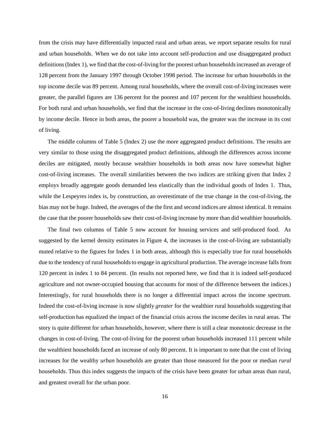from the crisis may have differentially impacted rural and urban areas, we report separate results for rural and urban households. When we do not take into account self-production and use disaggregated product definitions (Index 1), we find that the cost-of-living for the poorest urban households increased an average of 128 percent from the January 1997 through October 1998 period. The increase for urban households in the top income decile was 89 percent. Among rural households, where the overall cost-of-living increases were greater, the parallel figures are 136 percent for the poorest and 107 percent for the wealthiest households. For both rural and urban households, we find that the increase in the cost-of-living declines monotonically by income decile. Hence in both areas, the poorer a household was, the greater was the increase in its cost of living.

The middle columns of Table 5 (Index 2) use the more aggregated product definitions. The results are very similar to those using the disaggregated product definitions, although the differences across income deciles are mitigated, mostly because wealthier households in both areas now have somewhat higher cost-of-living increases. The overall similarities between the two indices are striking given that Index 2 employs broadly aggregate goods demanded less elastically than the individual goods of Index 1. Thus, while the Lespeyres index is, by construction, an overestimate of the true change in the cost-of-living, the bias may not be huge. Indeed, the averages of the the first and second indices are almost identical. It remains the case that the poorer households saw their cost-of-living increase by more than did wealthier households.

The final two columns of Table 5 now account for housing services and self-produced food. As suggested by the kernel density estimates in Figure 4, the increases in the cost-of-living are substantially muted relative to the figures for Index 1 in both areas, although this is especially true for rural households due to the tendency of rural households to engage in agricultural production. The average increase falls from 120 percent in index 1 to 84 percent. (In results not reported here, we find that it is indeed self-produced agriculture and not owner-occupied housing that accounts for most of the difference between the indices.) Interestingly, for rural households there is no longer a differential impact across the income spectrum. Indeed the cost-of-living increase is now slightly *greater* for the wealthier rural households suggesting that self-production has equalized the impact of the financial crisis across the income deciles in rural areas. The story is quite different for urban households, however, where there is still a clear monotonic decrease in the changes in cost-of-living. The cost-of-living for the poorest urban households increased 111 percent while the wealthiest households faced an increase of only 80 percent. It is important to note that the cost of living increases for the wealthy *urban* households are greater than those measured for the poor or median *rural* households. Thus this index suggests the impacts of the crisis have been greater for urban areas than rural, and greatest overall for the urban poor.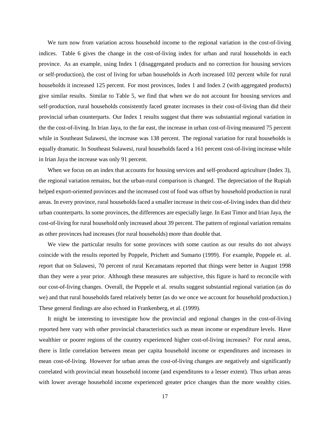We turn now from variation across household income to the regional variation in the cost-of-living indices. Table 6 gives the change in the cost-of-living index for urban and rural households in each province. As an example, using Index 1 (disaggregated products and no correction for housing services or self-production), the cost of living for urban households in Aceh increased 102 percent while for rural households it increased 125 percent. For most provinces, Index 1 and Index 2 (with aggregated products) give similar results. Similar to Table 5, we find that when we do not account for housing services and self-production, rural households consistently faced greater increases in their cost-of-living than did their provincial urban counterparts. Our Index 1 results suggest that there was substantial regional variation in the the cost-of-living. In Irian Jaya, to the far east, the increase in urban cost-of-living measured 75 percent while in Southeast Sulawesi, the increase was 138 percent. The regional variation for rural households is equally dramatic. In Southeast Sulawesi, rural households faced a 161 percent cost-of-living increase while in Irian Jaya the increase was only 91 percent.

When we focus on an index that accounts for housing services and self-produced agriculture (Index 3), the regional variation remains, but the urban-rural comparison is changed. The depreciation of the Rupiah helped export-oriented provinces and the increased cost of food was offset by household production in rural areas. In every province, rural households faced a smaller increase in their cost-of-living index than did their urban counterparts. In some provinces, the differences are especially large. In East Timor and Irian Jaya, the cost-of-living for rural household only increased about 39 percent. The pattern of regional variation remains as other provinces had increases (for rural households) more than double that.

We view the particular results for some provinces with some caution as our results do not always coincide with the results reported by Poppele, Prichett and Sumarto (1999). For example, Poppele et. al. report that on Sulawesi, 70 percent of rural Kecamatans reported that things were better in August 1998 than they were a year prior. Although these measures are subjective, this figure is hard to reconcile with our cost-of-living changes. Overall, the Poppele et al. results suggest substantial regional variation (as do we) and that rural households fared relatively better (as do we once we account for household production.) These general findings are also echoed in Frankenberg, et al. (1999).

It might be interesting to investigate how the provincial and regional changes in the cost-of-living reported here vary with other provincial characteristics such as mean income or expenditure levels. Have wealthier or poorer regions of the country experienced higher cost-of-living increases? For rural areas, there is little correlation between mean per capita household income or expenditures and increases in mean cost-of-living. However for urban areas the cost-of-living changes are negatively and significantly correlated with provincial mean household income (and expenditures to a lesser extent). Thus urban areas with lower average household income experienced greater price changes than the more wealthy cities.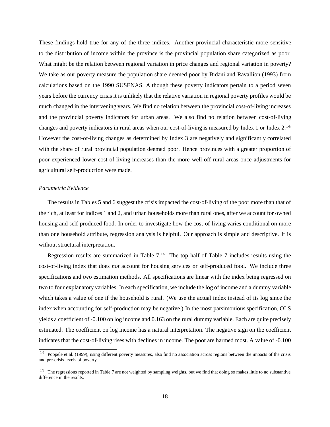These findings hold true for any of the three indices. Another provincial characteristic more sensitive to the distribution of income within the province is the provincial population share categorized as poor. What might be the relation between regional variation in price changes and regional variation in poverty? We take as our poverty measure the population share deemed poor by Bidani and Ravallion (1993) from calculations based on the 1990 SUSENAS. Although these poverty indicators pertain to a period seven years before the currency crisis it is unlikely that the relative variation in regional poverty profiles would be much changed in the intervening years. We find no relation between the provincial cost-of-living increases and the provincial poverty indicators for urban areas. We also find no relation between cost-of-living changes and poverty indicators in rural areas when our cost-of-living is measured by Index 1 or Index 2.<sup>14</sup> However the cost-of-living changes as determined by Index 3 are negatively and significantly correlated with the share of rural provincial population deemed poor. Hence provinces with a greater proportion of poor experienced lower cost-of-living increases than the more well-off rural areas once adjustments for agricultural self-production were made.

#### *Parametric Evidence*

The results in Tables 5 and 6 suggest the crisis impacted the cost-of-living of the poor more than that of the rich, at least for indices 1 and 2, and urban households more than rural ones, after we account for owned housing and self-produced food. In order to investigate how the cost-of-living varies conditional on more than one household attribute, regression analysis is helpful. Our approach is simple and descriptive. It is without structural interpretation.

Regression results are summarized in Table  $7<sup>15</sup>$  The top half of Table 7 includes results using the cost-of-living index that does *not* account for housing services or self-produced food. We include three specifications and two estimation methods. All specifications are linear with the index being regressed on two to four explanatory variables. In each specification, we include the log of income and a dummy variable which takes a value of one if the household is rural. (We use the actual index instead of its log since the index when accounting for self-production may be negative.) In the most parsimonious specification, OLS yields a coefficient of -0.100 on log income and 0.163 on the rural dummy variable. Each are quite precisely estimated. The coefficient on log income has a natural interpretation. The negative sign on the coefficient indicates that the cost-of-living rises with declines in income. The poor are harmed most. A value of -0.100

 $14$  Poppele et al. (1999), using different poverty measures, also find no association across regions between the impacts of the crisis and pre-crisis levels of poverty.

 $15$  The regressions reported in Table 7 are not weighted by sampling weights, but we find that doing so makes little to no substantive difference in the results.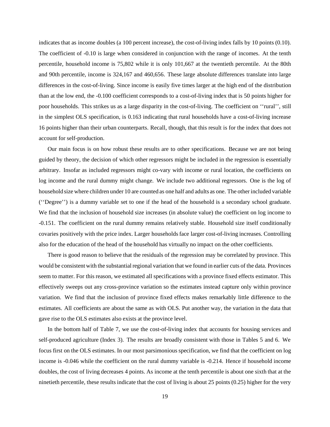indicates that as income doubles (a 100 percent increase), the cost-of-living index falls by 10 points (0.10). The coefficient of -0.10 is large when considered in conjunction with the range of incomes. At the tenth percentile, household income is 75,802 while it is only 101,667 at the twentieth percentile. At the 80th and 90th percentile, income is 324,167 and 460,656. These large absolute differences translate into large differences in the cost-of-living. Since income is easily five times larger at the high end of the distribution than at the low end, the -0.100 coefficient corresponds to a cost-of-living index that is 50 points higher for poor households. This strikes us as a large disparity in the cost-of-living. The coefficient on ''rural'', still in the simplest OLS specification, is 0.163 indicating that rural households have a cost-of-living increase 16 points higher than their urban counterparts. Recall, though, that this result is for the index that does not account for self-production.

Our main focus is on how robust these results are to other specifications. Because we are not being guided by theory, the decision of which other regressors might be included in the regression is essentially arbitrary. Insofar as included regressors might co-vary with income or rural location, the coefficients on log income and the rural dummy might change. We include two additional regressors. One is the log of household size where children under 10 are counted as one half and adults as one. The other included variable (''Degree'') is a dummy variable set to one if the head of the household is a secondary school graduate. We find that the inclusion of household size increases (in absolute value) the coefficient on log income to -0.151. The coefficient on the rural dummy remains relatively stable. Household size itself conditionally covaries positively with the price index. Larger households face larger cost-of-living increases. Controlling also for the education of the head of the household has virtually no impact on the other coefficients.

There is good reason to believe that the residuals of the regression may be correlated by province. This would be consistent with the substantial regional variation that we found in earlier cuts of the data. Provinces seem to matter. For this reason, we estimated all specifications with a province fixed effects estimator. This effectively sweeps out any cross-province variation so the estimates instead capture only within province variation. We find that the inclusion of province fixed effects makes remarkably little difference to the estimates. All coefficients are about the same as with OLS. Put another way, the variation in the data that gave rise to the OLS estimates also exists at the province level.

In the bottom half of Table 7, we use the cost-of-living index that accounts for housing services and self-produced agriculture (Index 3). The results are broadly consistent with those in Tables 5 and 6. We focus first on the OLS estimates. In our most parsimonious specification, we find that the coefficient on log income is -0.046 while the coefficient on the rural dummy variable is -0.214. Hence if household income doubles, the cost of living decreases 4 points. As income at the tenth percentile is about one sixth that at the ninetieth percentile, these results indicate that the cost of living is about 25 points (0.25) higher for the very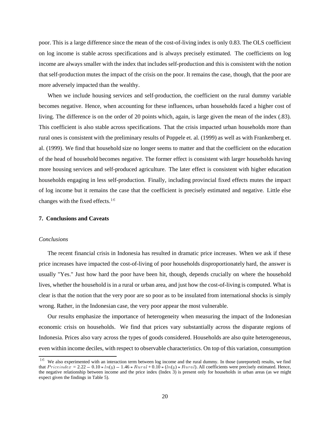poor. This is a large difference since the mean of the cost-of-living index is only 0.83. The OLS coefficient on log income is stable across specifications and is always precisely estimated. The coefficients on log income are always smaller with the index that includes self-production and this is consistent with the notion that self-production mutes the impact of the crisis on the poor. It remains the case, though, that the poor are more adversely impacted than the wealthy.

When we include housing services and self-production, the coefficient on the rural dummy variable becomes negative. Hence, when accounting for these influences, urban households faced a higher cost of living. The difference is on the order of 20 points which, again, is large given the mean of the index (.83). This coefficient is also stable across specifications. That the crisis impacted urban households more than rural ones is consistent with the preliminary results of Poppele et. al. (1999) as well as with Frankenberg et. al. (1999). We find that household size no longer seems to matter and that the coefficient on the education of the head of household becomes negative. The former effect is consistent with larger households having more housing services and self-produced agriculture. The later effect is consistent with higher education households engaging in less self-production. Finally, including provincial fixed effects mutes the impact of log income but it remains the case that the coefficient is precisely estimated and negative. Little else changes with the fixed effects. $16$ 

#### **7. Conclusions and Caveats**

#### *Conclusions*

The recent financial crisis in Indonesia has resulted in dramatic price increases. When we ask if these price increases have impacted the cost-of-living of poor households disproportionately hard, the answer is usually "Yes." Just how hard the poor have been hit, though, depends crucially on where the household lives, whether the household is in a rural or urban area, and just how the cost-of-living is computed. What is clear is that the notion that the very poor are so poor as to be insulated from international shocks is simply wrong. Rather, in the Indonesian case, the very poor appear the most vulnerable.

Our results emphasize the importance of heterogeneity when measuring the impact of the Indonesian economic crisis on households. We find that prices vary substantially across the disparate regions of Indonesia. Prices also vary across the types of goods considered. Households are also quite heterogeneous, even within income deciles, with respect to observable characteristics. On top of this variation, consumption

 $16$  We also experimented with an interaction term between log income and the rural dummy. In those (unreported) results, we find that  $Priceindex = 2.22 - 0.10 * ln(y) - 1.46 * Runal + 0.10 * (ln(y) * Rural)$ . All coefficients were precisely estimated. Hence, the negative relationship between income and the price index (Index 3) is present only for households in urban areas (as we might expect given the findings in Table 5).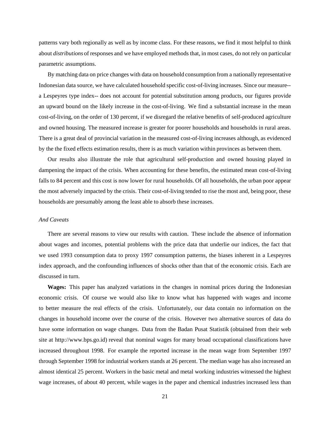patterns vary both regionally as well as by income class. For these reasons, we find it most helpful to think about *distributions* of responses and we have employed methods that, in most cases, do not rely on particular parametric assumptions.

By matching data on price changes with data on household consumption from a nationally representative Indonesian data source, we have calculated household specific cost-of-living increases. Since our measure- a Lespeyres type index-- does not account for potential substitution among products, our figures provide an upward bound on the likely increase in the cost-of-living. We find a substantial increase in the mean cost-of-living, on the order of 130 percent, if we disregard the relative benefits of self-produced agriculture and owned housing. The measured increase is greater for poorer households and households in rural areas. There is a great deal of provincial variation in the measured cost-of-living increases although, as evidenced by the the fixed effects estimation results, there is as much variation within provinces as between them.

Our results also illustrate the role that agricultural self-production and owned housing played in dampening the impact of the crisis. When accounting for these benefits, the estimated mean cost-of-living falls to 84 percent and this cost is now lower for rural households. Of all households, the urban poor appear the most adversely impacted by the crisis. Their cost-of-living tended to rise the most and, being poor, these households are presumably among the least able to absorb these increases.

#### *And Caveats*

There are several reasons to view our results with caution. These include the absence of information about wages and incomes, potential problems with the price data that underlie our indices, the fact that we used 1993 consumption data to proxy 1997 consumption patterns, the biases inherent in a Lespeyres index approach, and the confounding influences of shocks other than that of the economic crisis. Each are discussed in turn.

**Wages:** This paper has analyzed variations in the changes in nominal prices during the Indonesian economic crisis. Of course we would also like to know what has happened with wages and income to better measure the real effects of the crisis. Unfortunately, our data contain no information on the changes in household income over the course of the crisis. However two alternative sources of data do have some information on wage changes. Data from the Badan Pusat Statistik (obtained from their web site at http://www.bps.go.id) reveal that nominal wages for many broad occupational classifications have increased throughout 1998. For example the reported increase in the mean wage from September 1997 through September 1998 for industrial workers stands at 26 percent. The median wage has also increased an almost identical 25 percent. Workers in the basic metal and metal working industries witnessed the highest wage increases, of about 40 percent, while wages in the paper and chemical industries increased less than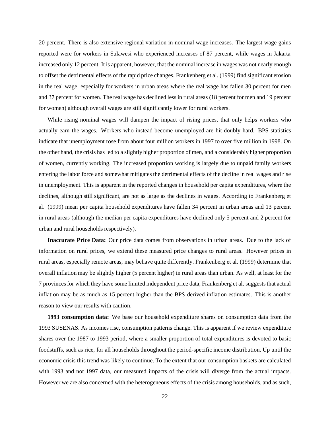20 percent. There is also extensive regional variation in nominal wage increases. The largest wage gains reported were for workers in Sulawesi who experienced increases of 87 percent, while wages in Jakarta increased only 12 percent. It is apparent, however, that the nominal increase in wages was not nearly enough to offset the detrimental effects of the rapid price changes. Frankenberg et al. (1999) find significant erosion in the real wage, especially for workers in urban areas where the real wage has fallen 30 percent for men and 37 percent for women. The real wage has declined less in rural areas (18 percent for men and 19 percent for women) although overall wages are still significantly lower for rural workers.

While rising nominal wages will dampen the impact of rising prices, that only helps workers who actually earn the wages. Workers who instead become unemployed are hit doubly hard. BPS statistics indicate that unemployment rose from about four million workers in 1997 to over five million in 1998. On the other hand, the crisis has led to a slightly higher proportion of men, and a considerably higher proportion of women, currently working. The increased proportion working is largely due to unpaid family workers entering the labor force and somewhat mitigates the detrimental effects of the decline in real wages and rise in unemployment. This is apparent in the reported changes in household per capita expenditures, where the declines, although still significant, are not as large as the declines in wages. According to Frankenberg et al. (1999) mean per capita household expenditures have fallen 34 percent in urban areas and 13 percent in rural areas (although the median per capita expenditures have declined only 5 percent and 2 percent for urban and rural households respectively).

**Inaccurate Price Data:** Our price data comes from observations in urban areas. Due to the lack of information on rural prices, we extend these measured price changes to rural areas. However prices in rural areas, especially remote areas, may behave quite differently. Frankenberg et al. (1999) determine that overall inflation may be slightly higher (5 percent higher) in rural areas than urban. As well, at least for the 7 provinces for which they have some limited independent price data, Frankenberg et al. suggests that actual inflation may be as much as 15 percent higher than the BPS derived inflation estimates. This is another reason to view our results with caution.

**1993 consumption data:** We base our household expenditure shares on consumption data from the 1993 SUSENAS. As incomes rise, consumption patterns change. This is apparent if we review expenditure shares over the 1987 to 1993 period, where a smaller proportion of total expenditures is devoted to basic foodstuffs, such as rice, for all households throughout the period-specific income distribution. Up until the economic crisis this trend was likely to continue. To the extent that our consumption baskets are calculated with 1993 and not 1997 data, our measured impacts of the crisis will diverge from the actual impacts. However we are also concerned with the heterogeneous effects of the crisis among households, and as such,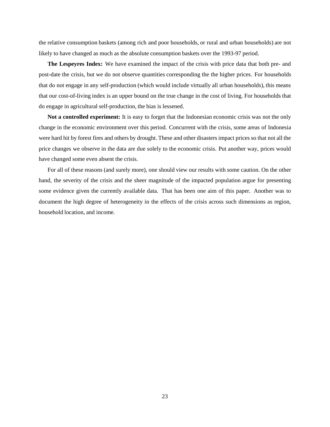the relative consumption baskets (among rich and poor households, or rural and urban households) are not likely to have changed as much as the absolute consumption baskets over the 1993-97 period.

**The Lespeyres Index:** We have examined the impact of the crisis with price data that both pre- and post-date the crisis, but we do not observe quantities corresponding the the higher prices. For households that do not engage in any self-production (which would include virtually all urban households), this means that our cost-of-living index is an upper bound on the true change in the cost of living. For households that do engage in agricultural self-production, the bias is lessened.

**Not a controlled experiment:** It is easy to forget that the Indonesian economic crisis was not the only change in the economic environment over this period. Concurrent with the crisis, some areas of Indonesia were hard hit by forest fires and others by drought. These and other disasters impact prices so that not all the price changes we observe in the data are due solely to the economic crisis. Put another way, prices would have changed some even absent the crisis.

For all of these reasons (and surely more), one should view our results with some caution. On the other hand, the severity of the crisis and the sheer magnitude of the impacted population argue for presenting some evidence given the currently available data. That has been one aim of this paper. Another was to document the high degree of heterogeneity in the effects of the crisis across such dimensions as region, household location, and income.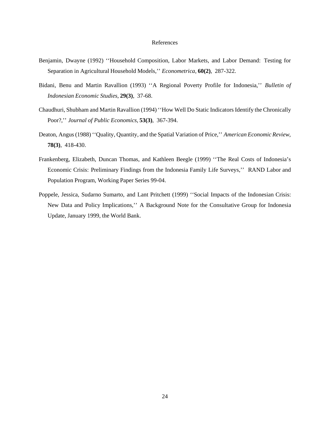#### References

- Benjamin, Dwayne (1992) ''Household Composition, Labor Markets, and Labor Demand: Testing for Separation in Agricultural Household Models,'' *Econometrica*, **60(2)**, 287-322.
- Bidani, Benu and Martin Ravallion (1993) ''A Regional Poverty Profile for Indonesia,'' *Bulletin of Indonesian Economic Studies*, **29(3)**, 37-68.
- Chaudhuri, Shubham and Martin Ravallion (1994) ''How Well Do Static Indicators Identify the Chronically Poor?,'' *Journal of Public Economics*, **53(3)**, 367-394.
- Deaton, Angus (1988) ''Quality, Quantity, and the Spatial Variation of Price,'' *American Economic Review*, **78(3)**, 418-430.
- Frankenberg, Elizabeth, Duncan Thomas, and Kathleen Beegle (1999) ''The Real Costs of Indonesia's Economic Crisis: Preliminary Findings from the Indonesia Family Life Surveys,'' RAND Labor and Population Program, Working Paper Series 99-04.
- Poppele, Jessica, Sudarno Sumarto, and Lant Pritchett (1999) ''Social Impacts of the Indonesian Crisis: New Data and Policy Implications,'' A Background Note for the Consultative Group for Indonesia Update, January 1999, the World Bank.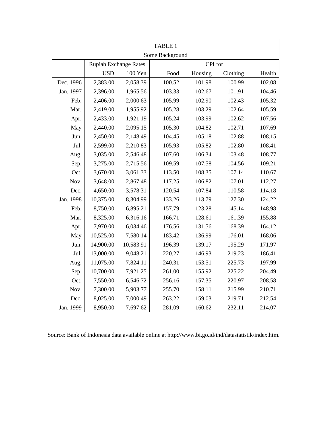| <b>TABLE 1</b>  |                              |           |        |         |          |        |  |
|-----------------|------------------------------|-----------|--------|---------|----------|--------|--|
| Some Background |                              |           |        |         |          |        |  |
|                 | <b>Rupiah Exchange Rates</b> |           |        | CPI for |          |        |  |
|                 | <b>USD</b>                   | 100 Yen   | Food   | Housing | Clothing | Health |  |
| Dec. 1996       | 2,383.00                     | 2,058.39  | 100.52 | 101.98  | 100.99   | 102.08 |  |
| Jan. 1997       | 2,396.00                     | 1,965.56  | 103.33 | 102.67  | 101.91   | 104.46 |  |
| Feb.            | 2,406.00                     | 2,000.63  | 105.99 | 102.90  | 102.43   | 105.32 |  |
| Mar.            | 2,419.00                     | 1,955.92  | 105.28 | 103.29  | 102.64   | 105.59 |  |
| Apr.            | 2,433.00                     | 1,921.19  | 105.24 | 103.99  | 102.62   | 107.56 |  |
| May             | 2,440.00                     | 2,095.15  | 105.30 | 104.82  | 102.71   | 107.69 |  |
| Jun.            | 2,450.00                     | 2,148.49  | 104.45 | 105.18  | 102.88   | 108.15 |  |
| Jul.            | 2,599.00                     | 2,210.83  | 105.93 | 105.82  | 102.80   | 108.41 |  |
| Aug.            | 3,035.00                     | 2,546.48  | 107.60 | 106.34  | 103.48   | 108.77 |  |
| Sep.            | 3,275.00                     | 2,715.56  | 109.59 | 107.58  | 104.56   | 109.21 |  |
| Oct.            | 3,670.00                     | 3,061.33  | 113.50 | 108.35  | 107.14   | 110.67 |  |
| Nov.            | 3,648.00                     | 2,867.48  | 117.25 | 106.82  | 107.01   | 112.27 |  |
| Dec.            | 4,650.00                     | 3,578.31  | 120.54 | 107.84  | 110.58   | 114.18 |  |
| Jan. 1998       | 10,375.00                    | 8,304.99  | 133.26 | 113.79  | 127.30   | 124.22 |  |
| Feb.            | 8,750.00                     | 6,895.21  | 157.79 | 123.28  | 145.14   | 148.98 |  |
| Mar.            | 8,325.00                     | 6,316.16  | 166.71 | 128.61  | 161.39   | 155.88 |  |
| Apr.            | 7,970.00                     | 6,034.46  | 176.56 | 131.56  | 168.39   | 164.12 |  |
| May             | 10,525.00                    | 7,580.14  | 183.42 | 136.99  | 176.01   | 168.06 |  |
| Jun.            | 14,900.00                    | 10,583.91 | 196.39 | 139.17  | 195.29   | 171.97 |  |
| Jul.            | 13,000.00                    | 9,048.21  | 220.27 | 146.93  | 219.23   | 186.41 |  |
| Aug.            | 11,075.00                    | 7,824.11  | 240.31 | 153.51  | 225.73   | 197.99 |  |
| Sep.            | 10,700.00                    | 7,921.25  | 261.00 | 155.92  | 225.22   | 204.49 |  |
| Oct.            | 7,550.00                     | 6,546.72  | 256.16 | 157.35  | 220.97   | 208.58 |  |
| Nov.            | 7,300.00                     | 5,903.77  | 255.70 | 158.11  | 215.99   | 210.71 |  |
| Dec.            | 8,025.00                     | 7,000.49  | 263.22 | 159.03  | 219.71   | 212.54 |  |
| Jan. 1999       | 8,950.00                     | 7,697.62  | 281.09 | 160.62  | 232.11   | 214.07 |  |

Source: Bank of Indonesia data available online at http://www.bi.go.id/ind/datastatistik/index.htm.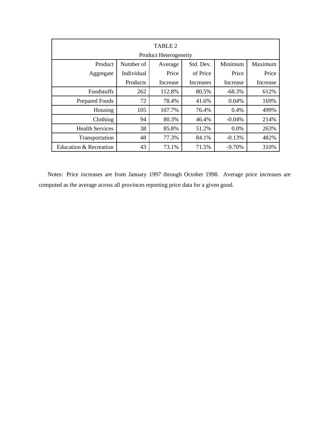| <b>TABLE 2</b><br><b>Product Heterogeneity</b> |                                                         |          |           |           |          |  |  |
|------------------------------------------------|---------------------------------------------------------|----------|-----------|-----------|----------|--|--|
| Product                                        | Minimum<br>Maximum<br>Number of<br>Std. Dev.<br>Average |          |           |           |          |  |  |
| Aggregate                                      | Individual                                              | Price    | of Price  | Price     | Price    |  |  |
|                                                | <b>Products</b>                                         | Increase | Increases | Increase  | Increase |  |  |
| Foodstuffs                                     | 262                                                     | 112.8%   | 80.5%     | $-68.3%$  | 612%     |  |  |
| <b>Prepared Foods</b>                          | 72                                                      | 78.4%    | 41.6%     | 0.04%     | 169%     |  |  |
| Housing                                        | 105                                                     | 107.7%   | 76.4%     | 0.4%      | 499%     |  |  |
| Clothing                                       | 94                                                      | 80.3%    | 46.4%     | $-0.04\%$ | 214%     |  |  |
| <b>Health Services</b>                         | 38                                                      | 85.8%    | 51.2%     | $0.0\%$   | 263%     |  |  |
| Transportation                                 | 48                                                      | 77.3%    | 84.1%     | $-0.13%$  | 482%     |  |  |
| Education & Recreation                         | 43                                                      | 73.1%    | 71.5%     | $-9.70%$  | 310%     |  |  |

Notes: Price increases are from January 1997 through October 1998. Average price increases are computed as the average across all provinces reporting price data for a given good.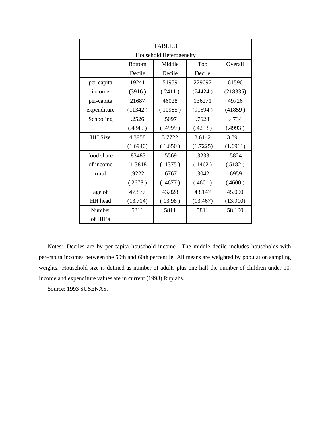| <b>TABLE 3</b>                            |          |         |          |          |  |  |  |
|-------------------------------------------|----------|---------|----------|----------|--|--|--|
| Household Heterogeneity                   |          |         |          |          |  |  |  |
| Middle<br>Overall<br><b>Bottom</b><br>Top |          |         |          |          |  |  |  |
|                                           | Decile   | Decile  | Decile   |          |  |  |  |
| per-capita                                | 19241    | 51959   | 229097   | 61596    |  |  |  |
| income                                    | (3916)   | (2411)  | (74424)  | (218335) |  |  |  |
| per-capita                                | 21687    | 46028   | 136271   | 49726    |  |  |  |
| expenditure                               | (11342)  | (10985) | (91594)  | (41859)  |  |  |  |
| Schooling                                 | .2526    | .5097   | .7628    | .4734    |  |  |  |
|                                           | (.4345)  | (.4999) | (.4253)  | (.4993)  |  |  |  |
| <b>HH</b> Size                            | 4.3958   | 3.7722  | 3.6142   | 3.8911   |  |  |  |
|                                           | (1.6940) | (1.650) | (1.7225) | (1.6911) |  |  |  |
| food share                                | .83483   | .5569   | .3233    | .5824    |  |  |  |
| of income                                 | (1.3818) | (.1375) | (.1462)  | (.5182)  |  |  |  |
| rural                                     | .9222    | .6767   | .3042    | .6959    |  |  |  |
|                                           | (.2678)  | (.4677) | (.4601)  | (.4600)  |  |  |  |
| age of                                    | 47.877   | 43.828  | 43.147   | 45.000   |  |  |  |
| HH head                                   | (13.714) | (13.98) | (13.467) | (13.910) |  |  |  |
| Number                                    | 5811     | 5811    | 5811     | 58,100   |  |  |  |
| of HH's                                   |          |         |          |          |  |  |  |

Notes: Deciles are by per-capita household income. The middle decile includes households with per-capita incomes between the 50th and 60th percentile. All means are weighted by population sampling weights. Household size is defined as number of adults plus one half the number of children under 10. Income and expenditure values are in current (1993) Rupiahs.

Source: 1993 SUSENAS.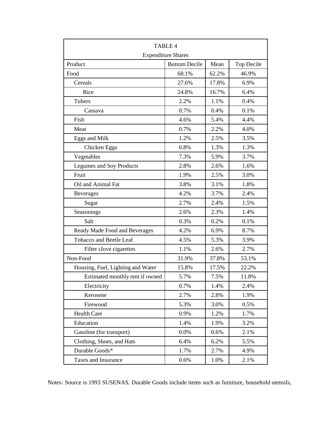| <b>TABLE 4</b>                                                                     |       |       |       |  |  |  |  |
|------------------------------------------------------------------------------------|-------|-------|-------|--|--|--|--|
| <b>Expenditure Shares</b><br>Product<br><b>Bottom Decile</b><br>Mean<br>Top Decile |       |       |       |  |  |  |  |
| Food                                                                               | 68.1% | 62.2% | 46.9% |  |  |  |  |
| Cereals                                                                            | 27.6% | 17.8% | 6.9%  |  |  |  |  |
| Rice                                                                               | 24.8% | 16.7% | 6.4%  |  |  |  |  |
| Tubers                                                                             | 2.2%  | 1.1%  | 0.4%  |  |  |  |  |
| Cassava                                                                            | 0.7%  | 0.4%  | 0.1%  |  |  |  |  |
| Fish                                                                               | 4.6%  | 5.4%  | 4.4%  |  |  |  |  |
| Meat                                                                               | 0.7%  | 2.2%  | 4.0%  |  |  |  |  |
| Eggs and Milk                                                                      | 1.2%  | 2.5%  | 3.5%  |  |  |  |  |
| <b>Chicken Eggs</b>                                                                | 0.8%  | 1.3%  | 1.3%  |  |  |  |  |
| Vegetables                                                                         | 7.3%  | 5.9%  | 3.7%  |  |  |  |  |
| <b>Legumes and Soy Products</b>                                                    | 2.8%  | 2.6%  | 1.6%  |  |  |  |  |
| Fruit                                                                              | 1.9%  | 2.5%  | 3.0%  |  |  |  |  |
| Oil and Animal Fat                                                                 | 3.8%  | 3.1%  | 1.8%  |  |  |  |  |
| <b>Beverages</b>                                                                   | 4.2%  | 3.7%  | 2.4%  |  |  |  |  |
| Sugar                                                                              | 2.7%  | 2.4%  | 1.5%  |  |  |  |  |
| Seasonings                                                                         | 2.6%  | 2.3%  | 1.4%  |  |  |  |  |
| Salt                                                                               | 0.3%  | 0.2%  | 0.1%  |  |  |  |  |
| Ready Made Food and Beverages                                                      | 4.2%  | 6.9%  | 8.7%  |  |  |  |  |
| Tobacco and Beetle Leaf                                                            | 4.5%  | 5.3%  | 3.9%  |  |  |  |  |
| Filter clove cigarettes                                                            | 1.1%  | 2.6%  | 2.7%  |  |  |  |  |
| Non-Food                                                                           | 31.9% | 37.8% | 53.1% |  |  |  |  |
| Housing, Fuel, Lighting and Water                                                  | 15.8% | 17.5% | 22.2% |  |  |  |  |
| Estimated monthly rent if owned                                                    | 5.7%  | 7.5%  | 11.8% |  |  |  |  |
| Electricity                                                                        | 0.7%  | 1.4%  | 2.4%  |  |  |  |  |
| Kerosene                                                                           | 2.7%  | 2.8%  | 1.9%  |  |  |  |  |
| Firewood                                                                           | 5.3%  | 3.0%  | 0.5%  |  |  |  |  |
| <b>Health Care</b>                                                                 | 0.9%  | 1.2%  | 1.7%  |  |  |  |  |
| Education                                                                          | 1.4%  | 1.9%  | 3.2%  |  |  |  |  |
| Gasoline (for transport)                                                           | 0.0%  | 0.6%  | 2.1%  |  |  |  |  |
| Clothing, Shoes, and Hats                                                          | 6.4%  | 6.2%  | 5.5%  |  |  |  |  |
| Durable Goods*                                                                     | 1.7%  | 2.7%  | 4.9%  |  |  |  |  |
| Taxes and Insurance                                                                | 0.6%  | 1.0%  | 2.1%  |  |  |  |  |

Notes: Source is 1993 SUSENAS. Durable Goods include items such as furniture, household utensils,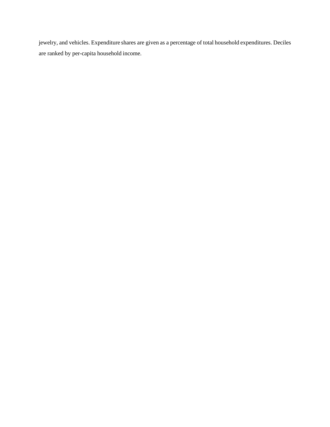jewelry, and vehicles. Expenditure shares are given as a percentage of total household expenditures. Deciles are ranked by per-capita household income.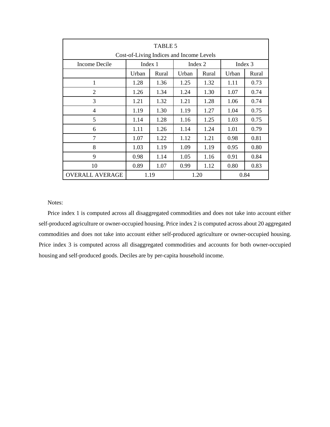| TABLE 5<br>Cost-of-Living Indices and Income Levels |                               |       |       |       |       |       |  |
|-----------------------------------------------------|-------------------------------|-------|-------|-------|-------|-------|--|
| Income Decile                                       | Index 1<br>Index 2<br>Index 3 |       |       |       |       |       |  |
|                                                     | Urban                         | Rural | Urban | Rural | Urban | Rural |  |
| $\mathbf{1}$                                        | 1.28                          | 1.36  | 1.25  | 1.32  | 1.11  | 0.73  |  |
| $\overline{2}$                                      | 1.26                          | 1.34  | 1.24  | 1.30  | 1.07  | 0.74  |  |
| 3                                                   | 1.21                          | 1.32  | 1.21  | 1.28  | 1.06  | 0.74  |  |
| 4                                                   | 1.19                          | 1.30  | 1.19  | 1.27  | 1.04  | 0.75  |  |
| 5                                                   | 1.14                          | 1.28  | 1.16  | 1.25  | 1.03  | 0.75  |  |
| 6                                                   | 1.11                          | 1.26  | 1.14  | 1.24  | 1.01  | 0.79  |  |
| 7                                                   | 1.07                          | 1.22  | 1.12  | 1.21  | 0.98  | 0.81  |  |
| 8                                                   | 1.03                          | 1.19  | 1.09  | 1.19  | 0.95  | 0.80  |  |
| 9                                                   | 0.98                          | 1.14  | 1.05  | 1.16  | 0.91  | 0.84  |  |
| 10                                                  | 0.89                          | 1.07  | 0.99  | 1.12  | 0.80  | 0.83  |  |
| <b>OVERALL AVERAGE</b>                              |                               | 1.19  | 1.20  |       | 0.84  |       |  |

Notes:

Price index 1 is computed across all disaggregated commodities and does not take into account either self-produced agriculture or owner-occupied housing. Price index 2 is computed across about 20 aggregated commodities and does not take into account either self-produced agriculture or owner-occupied housing. Price index 3 is computed across all disaggregated commodities and accounts for both owner-occupied housing and self-produced goods. Deciles are by per-capita household income.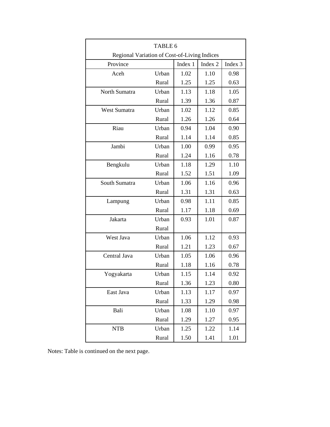| TABLE 6                                      |       |         |         |         |  |  |  |
|----------------------------------------------|-------|---------|---------|---------|--|--|--|
| Regional Variation of Cost-of-Living Indices |       |         |         |         |  |  |  |
| Province                                     |       | Index 1 | Index 2 | Index 3 |  |  |  |
| Aceh                                         | Urban | 1.02    | 1.10    | 0.98    |  |  |  |
|                                              | Rural | 1.25    | 1.25    | 0.63    |  |  |  |
| North Sumatra                                | Urban | 1.13    | 1.18    | 1.05    |  |  |  |
|                                              | Rural | 1.39    | 1.36    | 0.87    |  |  |  |
| West Sumatra                                 | Urban | 1.02    | 1.12    | 0.85    |  |  |  |
|                                              | Rural | 1.26    | 1.26    | 0.64    |  |  |  |
| Riau                                         | Urban | 0.94    | 1.04    | 0.90    |  |  |  |
|                                              | Rural | 1.14    | 1.14    | 0.85    |  |  |  |
| Jambi                                        | Urban | 1.00    | 0.99    | 0.95    |  |  |  |
|                                              | Rural | 1.24    | 1.16    | 0.78    |  |  |  |
| Bengkulu                                     | Urban | 1.18    | 1.29    | 1.10    |  |  |  |
|                                              | Rural | 1.52    | 1.51    | 1.09    |  |  |  |
| South Sumatra                                | Urban | 1.06    | 1.16    | 0.96    |  |  |  |
|                                              | Rural | 1.31    | 1.31    | 0.63    |  |  |  |
| Lampung                                      | Urban | 0.98    | 1.11    | 0.85    |  |  |  |
|                                              | Rural | 1.17    | 1.18    | 0.69    |  |  |  |
| Jakarta                                      | Urban | 0.93    | 1.01    | 0.87    |  |  |  |
|                                              | Rural |         |         |         |  |  |  |
| West Java                                    | Urban | 1.06    | 1.12    | 0.93    |  |  |  |
|                                              | Rural | 1.21    | 1.23    | 0.67    |  |  |  |
| Central Java                                 | Urban | 1.05    | 1.06    | 0.96    |  |  |  |
|                                              | Rural | 1.18    | 1.16    | 0.78    |  |  |  |
| Yogyakarta                                   | Urban | 1.15    | 1.14    | 0.92    |  |  |  |
|                                              | Rural | 1.36    | 1.23    | 0.80    |  |  |  |
| East Java                                    | Urban | 1.13    | 1.17    | 0.97    |  |  |  |
|                                              | Rural | 1.33    | 1.29    | 0.98    |  |  |  |
| Bali                                         | Urban | 1.08    | 1.10    | 0.97    |  |  |  |
|                                              | Rural | 1.29    | 1.27    | 0.95    |  |  |  |
| <b>NTB</b>                                   | Urban | 1.25    | 1.22    | 1.14    |  |  |  |
|                                              | Rural | 1.50    | 1.41    | 1.01    |  |  |  |

Notes: Table is continued on the next page.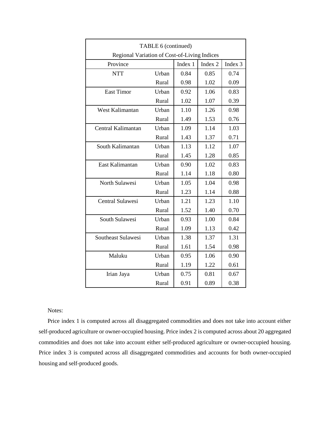| TABLE 6 (continued)                          |       |         |         |         |  |  |
|----------------------------------------------|-------|---------|---------|---------|--|--|
| Regional Variation of Cost-of-Living Indices |       |         |         |         |  |  |
| Province                                     |       | Index 1 | Index 2 | Index 3 |  |  |
| <b>NTT</b>                                   | Urban | 0.84    | 0.85    | 0.74    |  |  |
|                                              | Rural | 0.98    | 1.02    | 0.09    |  |  |
| <b>East Timor</b>                            | Urban | 0.92    | 1.06    | 0.83    |  |  |
|                                              | Rural | 1.02    | 1.07    | 0.39    |  |  |
| West Kalimantan                              | Urban | 1.10    | 1.26    | 0.98    |  |  |
|                                              | Rural | 1.49    | 1.53    | 0.76    |  |  |
| Central Kalimantan                           | Urban | 1.09    | 1.14    | 1.03    |  |  |
|                                              | Rural | 1.43    | 1.37    | 0.71    |  |  |
| South Kalimantan                             | Urban | 1.13    | 1.12    | 1.07    |  |  |
|                                              | Rural | 1.45    | 1.28    | 0.85    |  |  |
| East Kalimantan                              | Urban | 0.90    | 1.02    | 0.83    |  |  |
|                                              | Rural | 1.14    | 1.18    | 0.80    |  |  |
| <b>North Sulawesi</b>                        | Urban | 1.05    | 1.04    | 0.98    |  |  |
|                                              | Rural | 1.23    | 1.14    | 0.88    |  |  |
| Central Sulawesi                             | Urban | 1.21    | 1.23    | 1.10    |  |  |
|                                              | Rural | 1.52    | 1.40    | 0.70    |  |  |
| South Sulawesi                               | Urban | 0.93    | 1.00    | 0.84    |  |  |
|                                              | Rural | 1.09    | 1.13    | 0.42    |  |  |
| Southeast Sulawesi                           | Urban | 1.38    | 1.37    | 1.31    |  |  |
|                                              | Rural | 1.61    | 1.54    | 0.98    |  |  |
| Maluku                                       | Urban | 0.95    | 1.06    | 0.90    |  |  |
|                                              | Rural | 1.19    | 1.22    | 0.61    |  |  |
| Irian Jaya                                   | Urban | 0.75    | 0.81    | 0.67    |  |  |
|                                              | Rural | 0.91    | 0.89    | 0.38    |  |  |

#### Notes:

Price index 1 is computed across all disaggregated commodities and does not take into account either self-produced agriculture or owner-occupied housing. Price index 2 is computed across about 20 aggregated commodities and does not take into account either self-produced agriculture or owner-occupied housing. Price index 3 is computed across all disaggregated commodities and accounts for both owner-occupied housing and self-produced goods.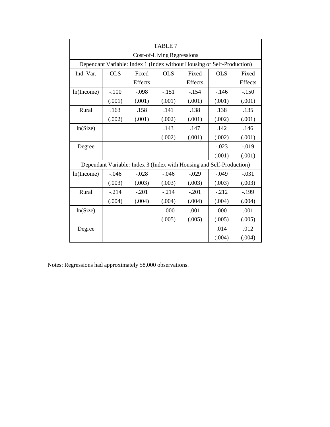| <b>TABLE 7</b>                                                         |            |         |            |                                                                      |            |                |  |  |
|------------------------------------------------------------------------|------------|---------|------------|----------------------------------------------------------------------|------------|----------------|--|--|
| Cost-of-Living Regressions                                             |            |         |            |                                                                      |            |                |  |  |
| Dependant Variable: Index 1 (Index without Housing or Self-Production) |            |         |            |                                                                      |            |                |  |  |
| Ind. Var.                                                              | <b>OLS</b> | Fixed   | <b>OLS</b> | Fixed                                                                | <b>OLS</b> | Fixed          |  |  |
|                                                                        |            | Effects |            | Effects                                                              |            | <b>Effects</b> |  |  |
| ln(Income)                                                             | $-.100$    | $-.098$ | $-.151$    | $-.154$                                                              | $-146$     | $-.150$        |  |  |
|                                                                        | (.001)     | (.001)  | (.001)     | (.001)                                                               | (.001)     | (.001)         |  |  |
| Rural                                                                  | .163       | .158    | .141       | .138                                                                 | .138       | .135           |  |  |
|                                                                        | (.002)     | (.001)  | (.002)     | (.001)                                                               | (.002)     | (.001)         |  |  |
| ln(Size)                                                               |            |         | .143       | .147                                                                 | .142       | .146           |  |  |
|                                                                        |            |         | (.002)     | (.001)                                                               | (.002)     | (.001)         |  |  |
| Degree                                                                 |            |         |            |                                                                      | $-.023$    | $-0.019$       |  |  |
|                                                                        |            |         |            |                                                                      | (.001)     | (.001)         |  |  |
|                                                                        |            |         |            | Dependant Variable: Index 3 (Index with Housing and Self-Production) |            |                |  |  |
| ln(Income)                                                             | $-.046$    | $-.028$ | $-.046$    | $-.029$                                                              | $-.049$    | $-.031$        |  |  |
|                                                                        | (.003)     | (.003)  | (.003)     | (.003)                                                               | (.003)     | (.003)         |  |  |
| Rural                                                                  | $-.214$    | $-.201$ | $-.214$    | $-.201$                                                              | $-.212$    | $-.199$        |  |  |
|                                                                        | (.004)     | (.004)  | (.004)     | (.004)                                                               | (.004)     | (.004)         |  |  |
| ln(Size)                                                               |            |         | $-.000$    | .001                                                                 | .000       | .001           |  |  |
|                                                                        |            |         | (.005)     | (.005)                                                               | (.005)     | (.005)         |  |  |
| Degree                                                                 |            |         |            |                                                                      | .014       | .012           |  |  |
|                                                                        |            |         |            |                                                                      | (.004)     | (.004)         |  |  |

Notes: Regressions had approximately 58,000 observations.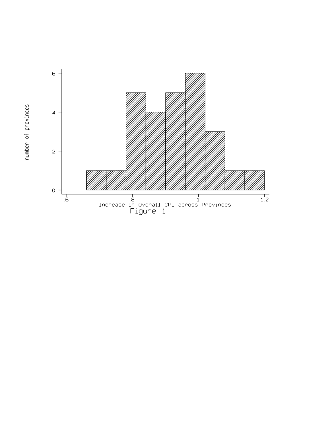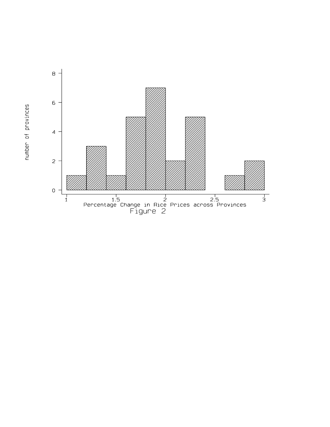

number of provinces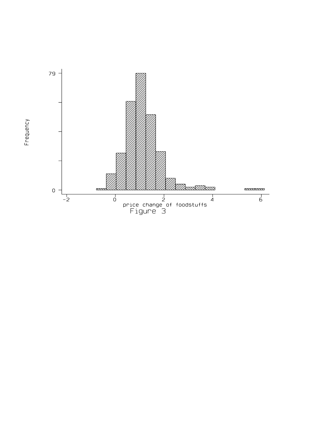

Frequency